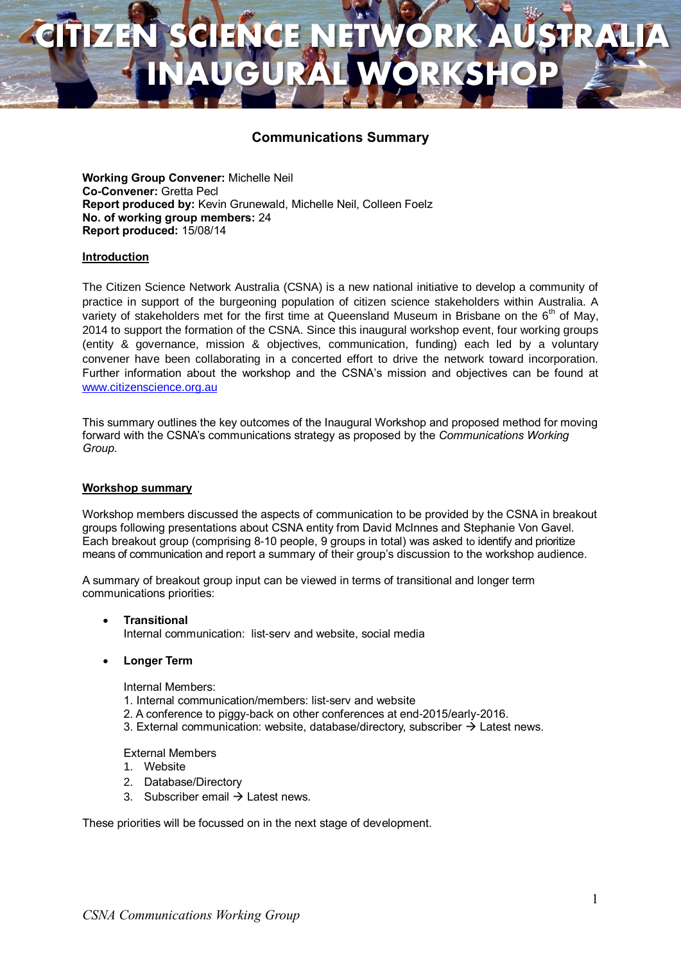# **CITIZEN SCIENCE NETWORK AUSTRALIA INAUGURAL WORKSHOP**

### **Communications Summary**

**Working Group Convener:** Michelle Neil **Co-Convener:** Gretta Pecl **Report produced by:** Kevin Grunewald, Michelle Neil, Colleen Foelz **No. of working group members:** 24 **Report produced:** 15/08/14

### **Introduction**

The Citizen Science Network Australia (CSNA) is a new national initiative to develop a community of practice in support of the burgeoning population of citizen science stakeholders within Australia. A variety of stakeholders met for the first time at Queensland Museum in Brisbane on the  $6<sup>th</sup>$  of May, 2014 to support the formation of the CSNA. Since this inaugural workshop event, four working groups (entity & governance, mission & objectives, communication, funding) each led by a voluntary convener have been collaborating in a concerted effort to drive the network toward incorporation. Further information about the workshop and the CSNA's mission and objectives can be found at [www.citizenscience.org.au](http://www.citizenscience.org.au/)

This summary outlines the key outcomes of the Inaugural Workshop and proposed method for moving forward with the CSNA's communications strategy as proposed by the *Communications Working Group.*

#### **Workshop summary**

Workshop members discussed the aspects of communication to be provided by the CSNA in breakout groups following presentations about CSNA entity from David McInnes and Stephanie Von Gavel. Each breakout group (comprising 8-10 people, 9 groups in total) was asked to identify and prioritize means of communication and report a summary of their group's discussion to the workshop audience.

A summary of breakout group input can be viewed in terms of transitional and longer term communications priorities:

- **Transitional** Internal communication: list-serv and website, social media
- **Longer Term**

Internal Members:

- 1. Internal communication/members: list-serv and website
- 2. A conference to piggy-back on other conferences at end-2015/early-2016.
- 3. External communication: website, database/directory, subscriber  $\rightarrow$  Latest news.

External Members

- 1. Website
- 2. Database/Directory
- 3. Subscriber email  $\rightarrow$  Latest news.

These priorities will be focussed on in the next stage of development.